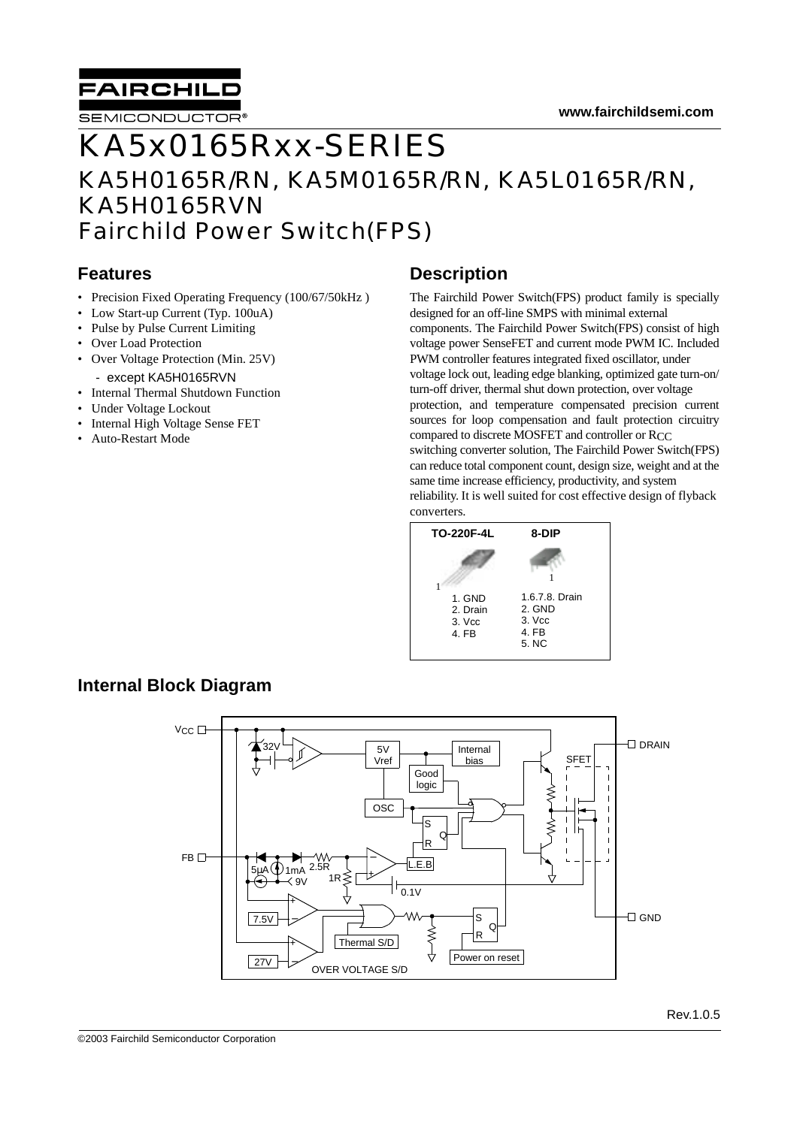

# KA5x0165Rxx-SERIES KA5H0165R/RN, KA5M0165R/RN, KA5L0165R/RN, KA5H0165RVN Fairchild Power Switch(FPS)

#### **Features**

- Precision Fixed Operating Frequency (100/67/50kHz)
- Low Start-up Current (Typ. 100uA)
- Pulse by Pulse Current Limiting
- Over Load Protection
- Over Voltage Protection (Min. 25V)
- except KA5H0165RVN
- Internal Thermal Shutdown Function
- Under Voltage Lockout
- Internal High Voltage Sense FET
- Auto-Restart Mode

#### **Description**

The Fairchild Power Switch(FPS) product family is specially designed for an off-line SMPS with minimal external components. The Fairchild Power Switch(FPS) consist of high voltage power SenseFET and current mode PWM IC. Included PWM controller features integrated fixed oscillator, under voltage lock out, leading edge blanking, optimized gate turn-on/ turn-off driver, thermal shut down protection, over voltage protection, and temperature compensated precision current sources for loop compensation and fault protection circuitry compared to discrete MOSFET and controller or RCC switching converter solution, The Fairchild Power Switch(FPS) can reduce total component count, design size, weight and at the same time increase efficiency, productivity, and system reliability. It is well suited for cost effective design of flyback converters.



#### **Internal Block Diagram**

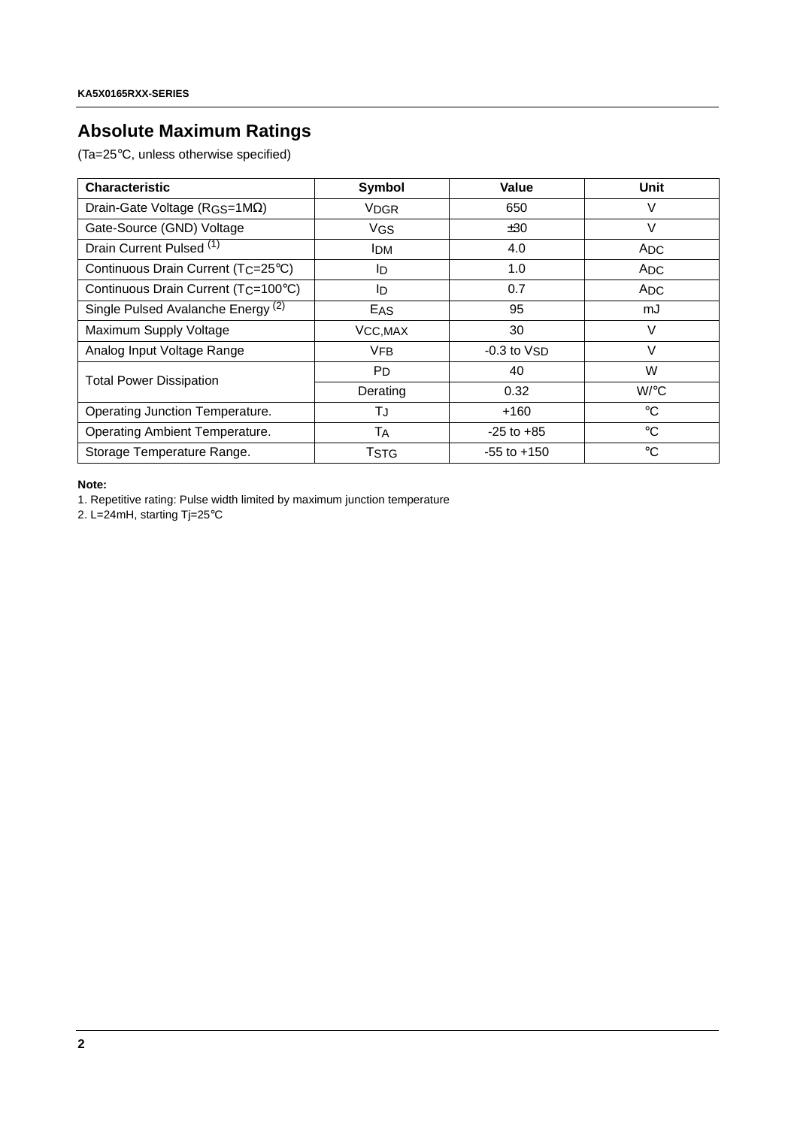# **Absolute Maximum Ratings**

(Ta=25°C, unless otherwise specified)

| <b>Characteristic</b>                            | Symbol         | Value           | <b>Unit</b>        |
|--------------------------------------------------|----------------|-----------------|--------------------|
| Drain-Gate Voltage ( $RGS=1M\Omega$ )            | <b>VDGR</b>    | 650             |                    |
| Gate-Source (GND) Voltage                        | <b>VGS</b>     | ±30             | $\vee$             |
| Drain Current Pulsed <sup>(1)</sup>              | <b>IDM</b>     | 4.0             | ADC                |
| Continuous Drain Current (TC=25°C)               | ID.            | 1.0             | <b>ADC</b>         |
| Continuous Drain Current (T <sub>C</sub> =100°C) | ID.            | 0.7             | ADC                |
| Single Pulsed Avalanche Energy <sup>(2)</sup>    | EAS            | 95              |                    |
| Maximum Supply Voltage                           | VCC, MAX       | 30              | V                  |
| Analog Input Voltage Range                       | <b>VFB</b>     | $-0.3$ to $VSD$ | $\vee$             |
| <b>Total Power Dissipation</b>                   | P <sub>D</sub> | 40              | W                  |
|                                                  | Derating       | 0.32            | $W$ <sup>o</sup> C |
| Operating Junction Temperature.                  | ТJ             | $+160$          | $^{\circ}$ C       |
| Operating Ambient Temperature.                   | TA             | $-25$ to $+85$  | $^{\circ}$ C       |
| Storage Temperature Range.                       | TSTG           | $-55$ to $+150$ | $^{\circ}$ C       |

**Note:**

1. Repetitive rating: Pulse width limited by maximum junction temperature

2. L=24mH, starting Tj=25°C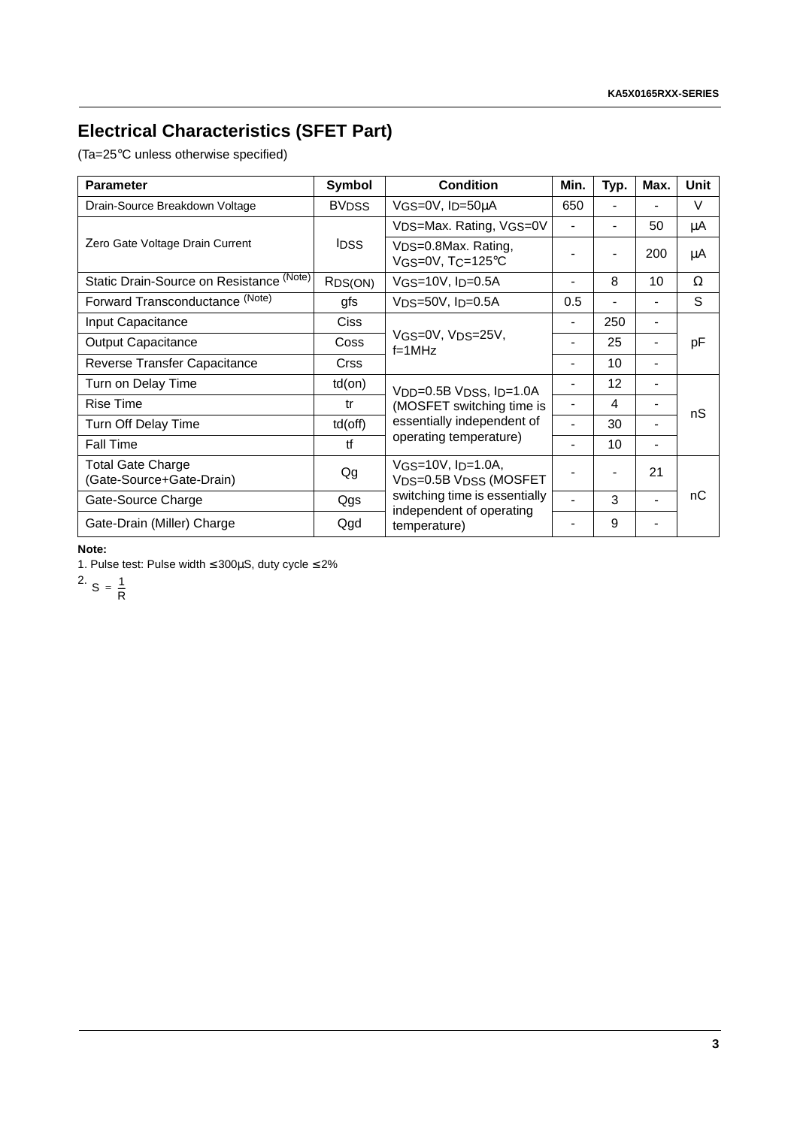# **Electrical Characteristics (SFET Part)**

(Ta=25°C unless otherwise specified)

| <b>Parameter</b>                                     | Symbol               | <b>Condition</b>                                                           | Min.                     | Typ.           | Max.                         | Unit   |
|------------------------------------------------------|----------------------|----------------------------------------------------------------------------|--------------------------|----------------|------------------------------|--------|
| Drain-Source Breakdown Voltage                       | <b>BVDSS</b>         | VGS=0V, ID=50µA                                                            | 650                      |                |                              | $\vee$ |
| Zero Gate Voltage Drain Current                      |                      | VDS=Max. Rating, VGS=0V                                                    | $\blacksquare$           | $\blacksquare$ | 50                           | μA     |
|                                                      | IDSS.                | V <sub>DS</sub> =0.8Max. Rating,<br>$VGS=0V$ , $TC=125^{\circ}C$           |                          |                | 200                          | μA     |
| Static Drain-Source on Resistance (Note)             | R <sub>DS</sub> (ON) | $VGS=10V$ , $I_D=0.5A$                                                     |                          | 8              | 10                           | Ω      |
| Forward Transconductance (Note)                      | gfs                  | VDS=50V, ID=0.5A                                                           | 0.5                      |                | $\blacksquare$               | S      |
| Input Capacitance                                    | <b>Ciss</b>          |                                                                            |                          | 250            | $\blacksquare$               |        |
| <b>Output Capacitance</b>                            | Coss                 | $V$ GS= $0V$ , $V$ DS= $25V$ ,<br>$f=1MHz$                                 |                          | 25             | $\blacksquare$               | рF     |
| Reverse Transfer Capacitance                         | <b>Crss</b>          |                                                                            |                          | 10             | $\blacksquare$               |        |
| Turn on Delay Time                                   | $td($ on $)$         | V <sub>DD</sub> =0.5B V <sub>DSS</sub> , I <sub>D</sub> =1.0A              |                          | 12             |                              |        |
| <b>Rise Time</b>                                     | tr                   | (MOSFET switching time is                                                  | $\overline{\phantom{0}}$ | 4              | $\blacksquare$               | nS     |
| Turn Off Delay Time                                  | $td($ off $)$        | essentially independent of                                                 |                          | 30             | $\qquad \qquad \blacksquare$ |        |
| <b>Fall Time</b>                                     | ťf                   | operating temperature)                                                     |                          | 10             | $\overline{\phantom{a}}$     |        |
| <b>Total Gate Charge</b><br>(Gate-Source+Gate-Drain) | Qg                   | $VGS=10V$ , $I_D=1.0A$ ,<br>V <sub>DS</sub> =0.5B V <sub>DSS</sub> (MOSFET |                          |                | 21                           |        |
| Gate-Source Charge                                   | Qgs                  | switching time is essentially<br>independent of operating                  |                          | 3              |                              | nС     |
| Gate-Drain (Miller) Charge                           | Qgd                  | temperature)                                                               |                          | 9              |                              |        |

**Note:**

1. Pulse test: Pulse width ≤ 300µS, duty cycle ≤ 2%

<sup>2.</sup> S =  $\frac{1}{R}$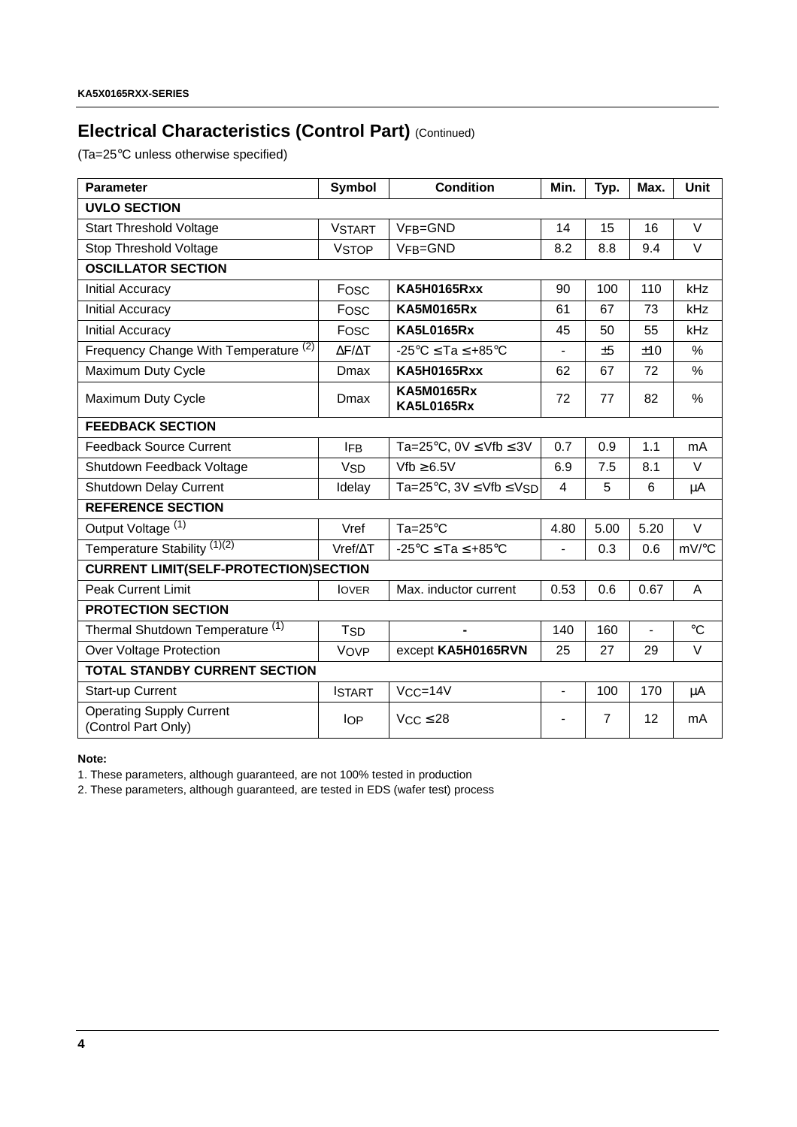# **Electrical Characteristics (Control Part) (Continued)**

(Ta=25°C unless otherwise specified)

| <b>Parameter</b>                                       | Symbol                 | <b>Condition</b>                                | Min.                         | Typ.           | Max.           | <b>Unit</b>     |  |  |  |
|--------------------------------------------------------|------------------------|-------------------------------------------------|------------------------------|----------------|----------------|-----------------|--|--|--|
| <b>UVLO SECTION</b>                                    |                        |                                                 |                              |                |                |                 |  |  |  |
| <b>Start Threshold Voltage</b>                         | <b>VSTART</b>          | VFB=GND                                         | 14                           | 15             | 16             | $\vee$          |  |  |  |
| Stop Threshold Voltage                                 | <b>VSTOP</b>           | VFB=GND                                         | 8.2                          | 8.8            | 9.4            | $\vee$          |  |  |  |
| <b>OSCILLATOR SECTION</b>                              |                        |                                                 |                              |                |                |                 |  |  |  |
| <b>Initial Accuracy</b>                                | Fosc                   | <b>KA5H0165Rxx</b>                              | 90                           | 100            | 110            | kHz             |  |  |  |
| <b>Initial Accuracy</b>                                | Fosc                   | <b>KA5M0165Rx</b>                               | 61                           | 67             | 73             | kHz             |  |  |  |
| <b>Initial Accuracy</b>                                | Fosc                   | <b>KA5L0165Rx</b>                               | 45                           | 50             | 55             | kHz             |  |  |  |
| Frequency Change With Temperature <sup>(2)</sup>       | $\Delta$ F/ $\Delta$ T | $-25^{\circ}$ C $\le$ Ta $\le$ +85 $^{\circ}$ C | $\overline{a}$               | ±5             | ±10            | %               |  |  |  |
| Maximum Duty Cycle                                     | Dmax                   | <b>KA5H0165Rxx</b>                              | 62                           | 67             | 72             | $\%$            |  |  |  |
| Maximum Duty Cycle                                     | Dmax                   | <b>KA5M0165Rx</b><br><b>KA5L0165Rx</b>          | 72                           | 77             | 82             | $\%$            |  |  |  |
| <b>FEEDBACK SECTION</b>                                |                        |                                                 |                              |                |                |                 |  |  |  |
| <b>Feedback Source Current</b>                         | IFB.                   | Ta=25°C, 0V $\leq$ Vfb $\leq$ 3V                | 0.7                          | 0.9            | 1.1            | mA              |  |  |  |
| Shutdown Feedback Voltage                              | <b>V<sub>SD</sub></b>  | $Vfb \geq 6.5V$                                 | 6.9                          | 7.5            | 8.1            | $\vee$          |  |  |  |
| Shutdown Delay Current                                 | Idelay                 | Ta=25°C, $3V \leq Vfb \leq VSD$                 | $\overline{4}$               | 5              | 6              | $\mu$ A         |  |  |  |
| <b>REFERENCE SECTION</b>                               |                        |                                                 |                              |                |                |                 |  |  |  |
| Output Voltage <sup>(1)</sup>                          | Vref                   | $Ta=25^{\circ}C$                                | 4.80                         | 5.00           | 5.20           | $\vee$          |  |  |  |
| Temperature Stability (1)(2)                           | $Vref/\Delta T$        | $-25^{\circ}$ C $\le$ Ta $\le$ +85 $^{\circ}$ C | $\blacksquare$               | 0.3            | 0.6            | mV/°C           |  |  |  |
| <b>CURRENT LIMIT(SELF-PROTECTION)SECTION</b>           |                        |                                                 |                              |                |                |                 |  |  |  |
| <b>Peak Current Limit</b>                              | <b>IOVER</b>           | Max. inductor current                           | 0.53                         | 0.6            | 0.67           | Α               |  |  |  |
| <b>PROTECTION SECTION</b>                              |                        |                                                 |                              |                |                |                 |  |  |  |
| Thermal Shutdown Temperature <sup>(1)</sup>            | <b>T<sub>SD</sub></b>  | ٠                                               | 140                          | 160            | $\blacksquare$ | $\rm ^{\circ}C$ |  |  |  |
| Over Voltage Protection                                | VOVP                   | except KA5H0165RVN                              | 25                           | 27             | 29             | V               |  |  |  |
| <b>TOTAL STANDBY CURRENT SECTION</b>                   |                        |                                                 |                              |                |                |                 |  |  |  |
| Start-up Current                                       | <b>ISTART</b>          | $VCC = 14V$                                     | $\frac{1}{2}$                | 100            | 170            | μA              |  |  |  |
| <b>Operating Supply Current</b><br>(Control Part Only) | <b>IOP</b>             | $VCC \leq 28$                                   | $\qquad \qquad \blacksquare$ | $\overline{7}$ | 12             | mA              |  |  |  |

**Note:**

1. These parameters, although guaranteed, are not 100% tested in production

2. These parameters, although guaranteed, are tested in EDS (wafer test) process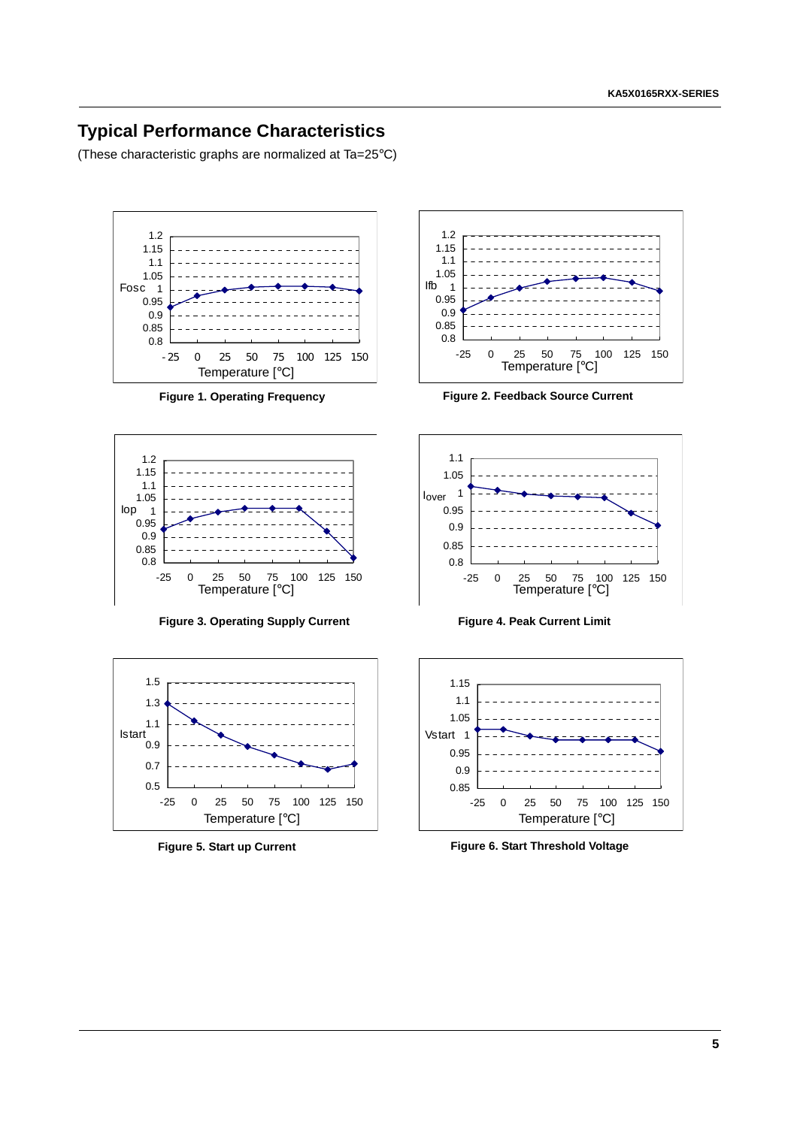### **Typical Performance Characteristics**

(These characteristic graphs are normalized at Ta=25°C)





**Figure 3. Operating Supply Current Figure 4. Peak Current Limit**





**Figure 1. Operating Frequency Figure 2. Feedback Source Current**





**Figure 5. Start up Current Figure 6. Start Threshold Voltage**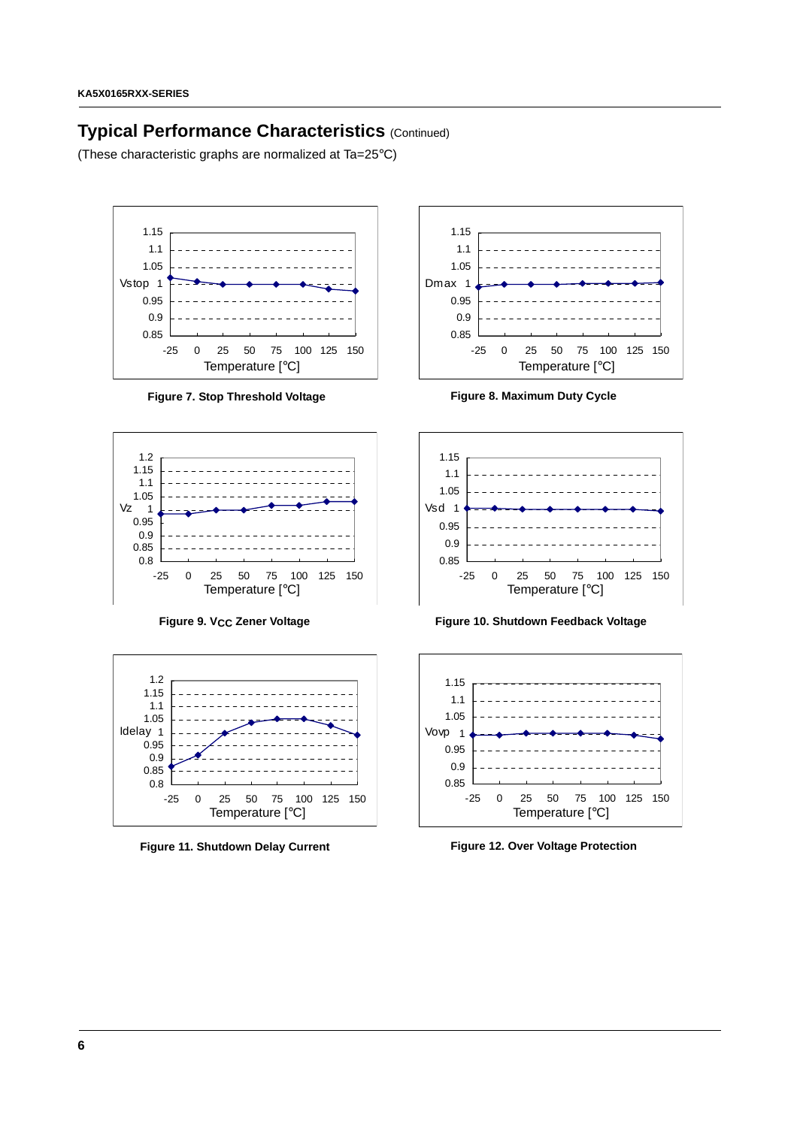### **Typical Performance Characteristics** (Continued)

(These characteristic graphs are normalized at Ta=25°C)



Figure 7. Stop Threshold Voltage **Figure 8. Maximum Duty Cycle** 









**Figure 9. VCC Zener Voltage Figure 10. Shutdown Feedback Voltage**



**Figure 11. Shutdown Delay Current Figure 12. Over Voltage Protection**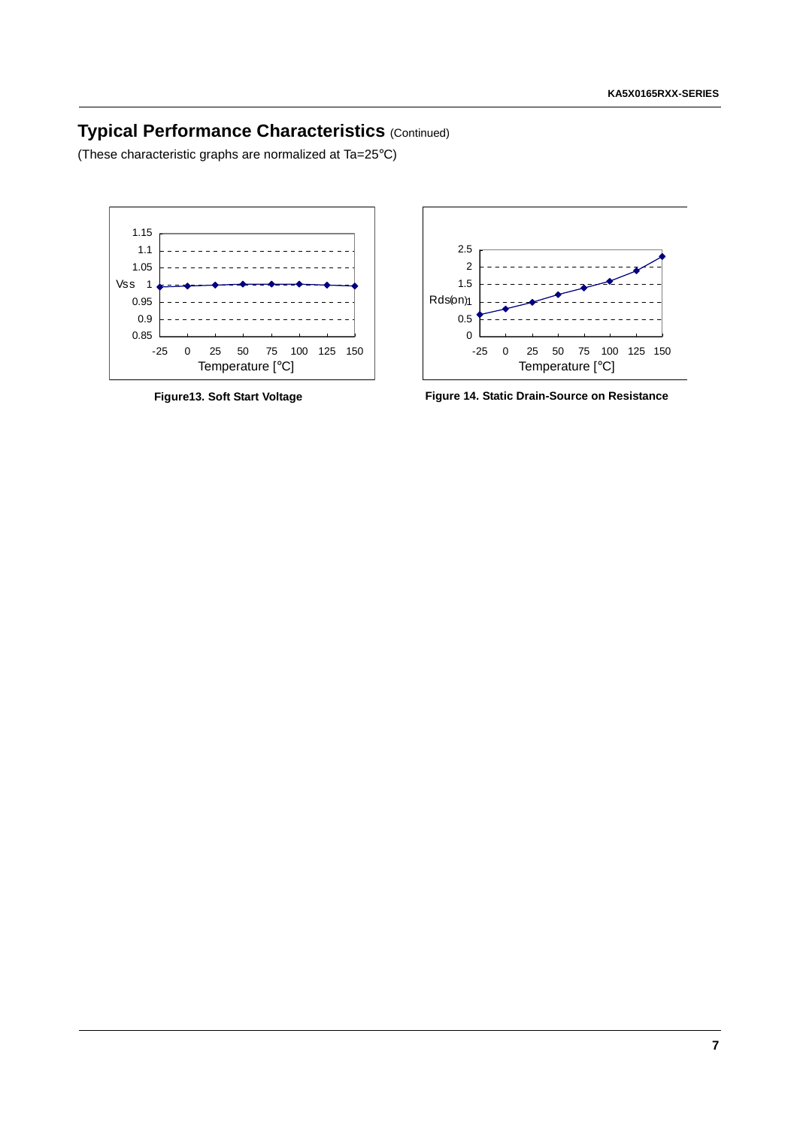# **Typical Performance Characteristics** (Continued)

(These characteristic graphs are normalized at Ta=25°C)





**Figure13. Soft Start Voltage Figure 14. Static Drain-Source on Resistance**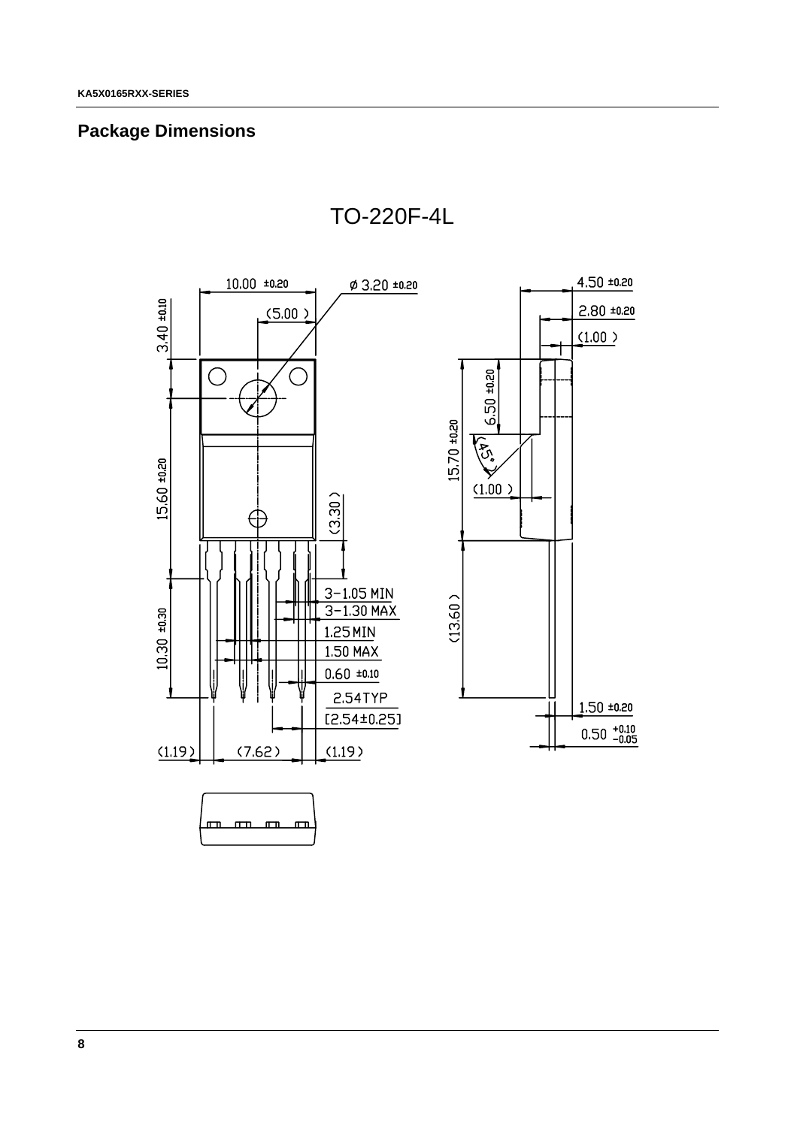# **Package Dimensions**



TO-220F-4L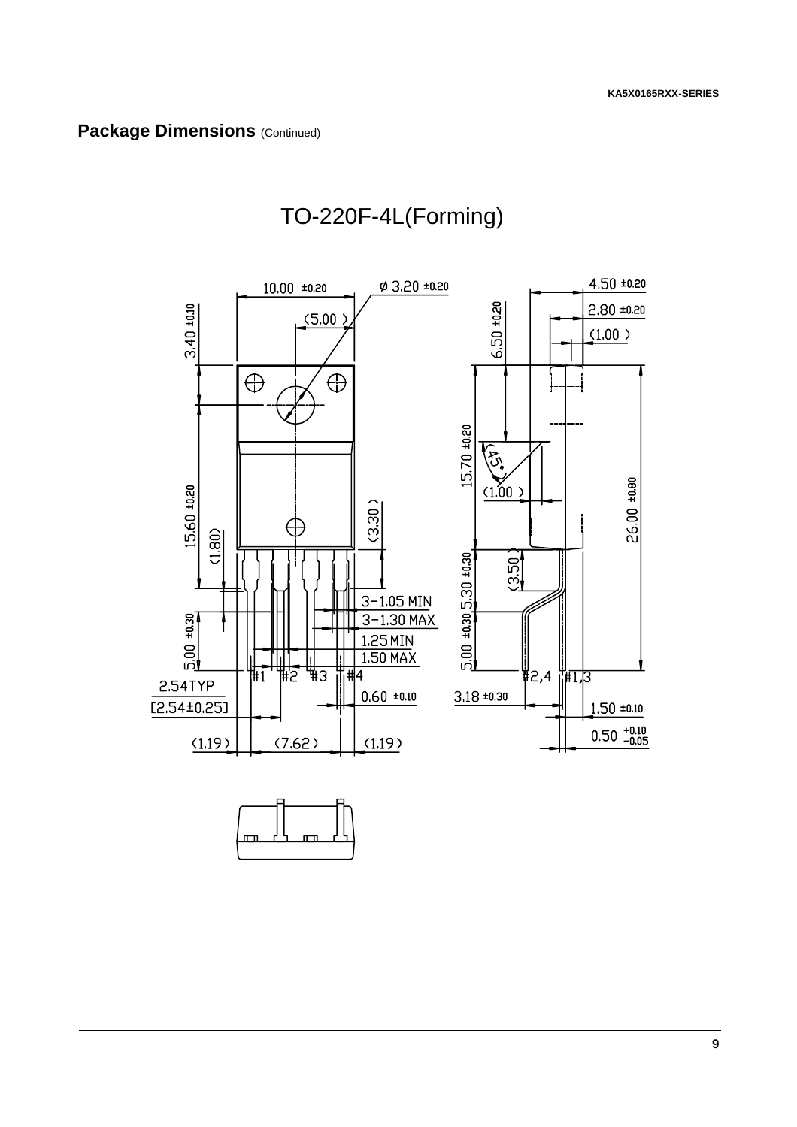

# TO-220F-4L(Forming)



**9**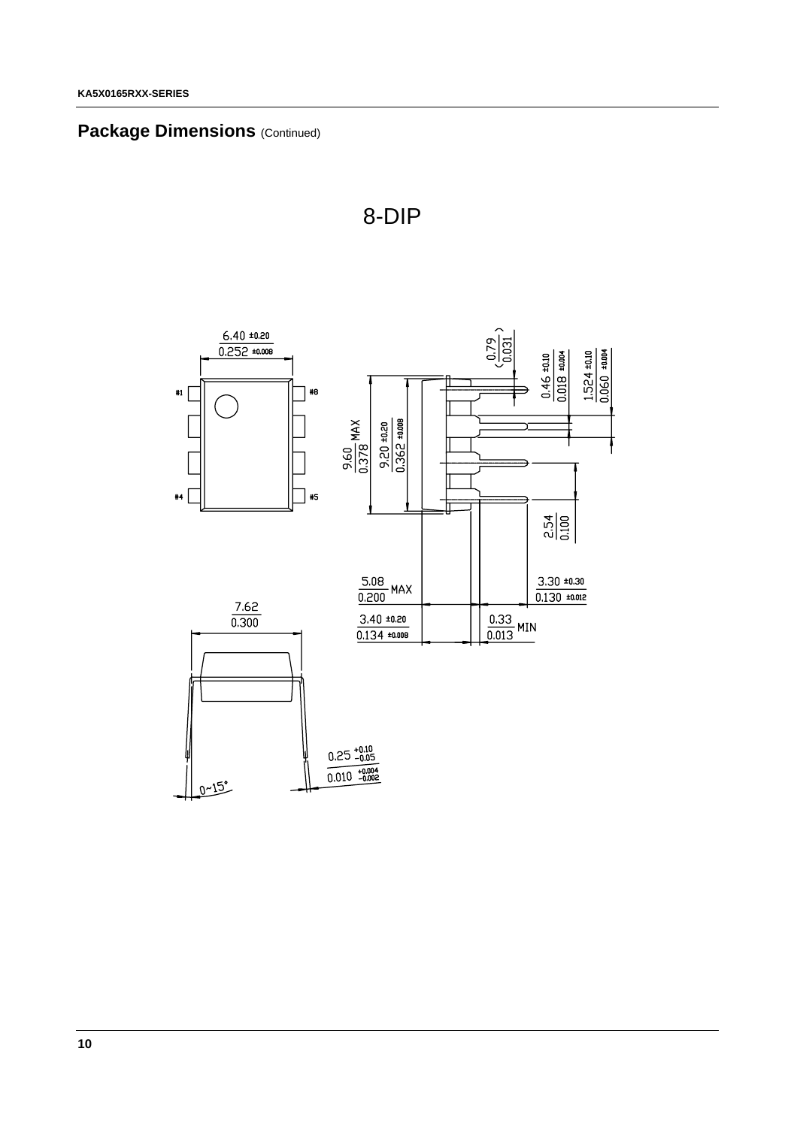# **Package Dimensions (Continued)**



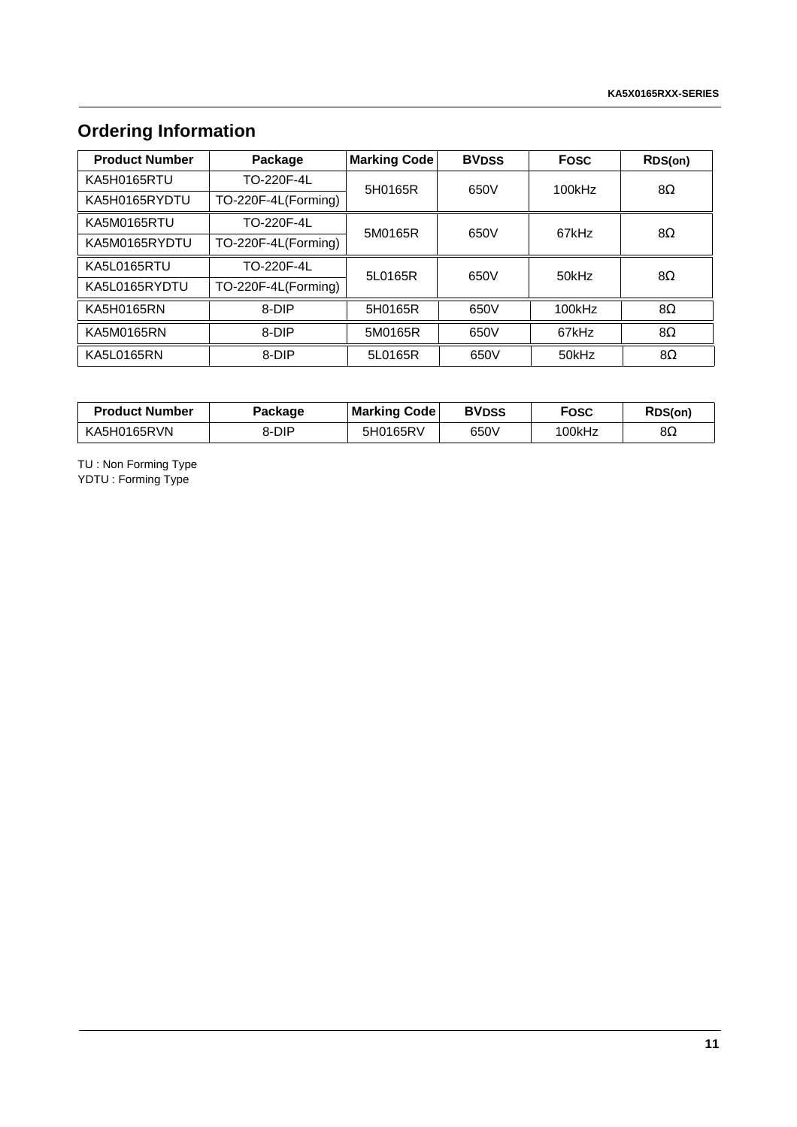# **Ordering Information**

| <b>Product Number</b> | Package             | <b>Marking Code</b> | <b>BVDSS</b> | <b>Fosc</b> | RDS(on)   |
|-----------------------|---------------------|---------------------|--------------|-------------|-----------|
| KA5H0165RTU           | TO-220F-4L          | 5H0165R             | 650V         | 100kHz      | $8\Omega$ |
| KA5H0165RYDTU         | TO-220F-4L(Forming) |                     |              |             |           |
| KA5M0165RTU           | TO-220F-4L          | 5M0165R             | 650V         | 67kHz       | $8\Omega$ |
| KA5M0165RYDTU         | TO-220F-4L(Forming) |                     |              |             |           |
| KA5L0165RTU           | TO-220F-4L          | 5L0165R             | 650V         | 50kHz       | $8\Omega$ |
| KA5L0165RYDTU         | TO-220F-4L(Forming) |                     |              |             |           |
| KA5H0165RN            | 8-DIP               | 5H0165R             | 650V         | 100kHz      | 8Ω        |
| KA5M0165RN            | 8-DIP               | 5M0165R             | 650V         | 67kHz       | 8Ω        |
| <b>KA5L0165RN</b>     | 8-DIP               | 5L0165R             | 650V         | 50kHz       | $8\Omega$ |

| <b>Product Number</b> | Packaqe | <b>Marking Code</b> | <b>BV<sub>DSS</sub></b> | Fosc   | RDS(on) |
|-----------------------|---------|---------------------|-------------------------|--------|---------|
| KA5H0165RVN           | 8-DIP   | 5H0165RV            | 650V                    | 100kHz | 8Ω      |

TU : Non Forming Type YDTU : Forming Type